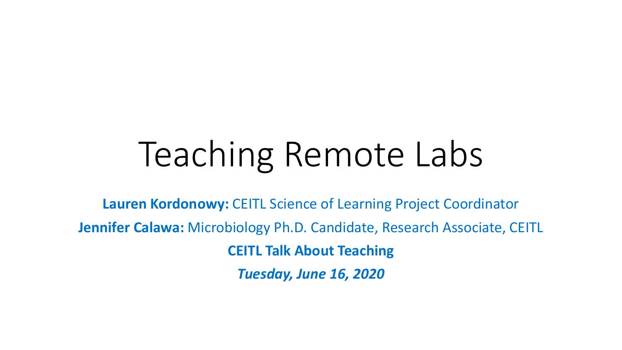# Teaching Remote Labs

**Lauren Kordonowy:** CEITL Science of Learning Project Coordinator **Jennifer Calawa:** Microbiology Ph.D. Candidate, Research Associate, CEITL **CEITL Talk About Teaching** *Tuesday, June 16, 2020*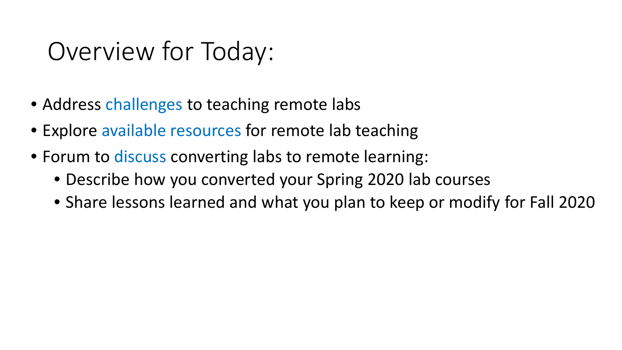### Overview for Today:

- Address challenges to teaching remote labs
- Explore available resources for remote lab teaching
- Forum to discuss converting labs to remote learning:
	- Describe how you converted your Spring 2020 lab courses
	- Share lessons learned and what you plan to keep or modify for Fall 2020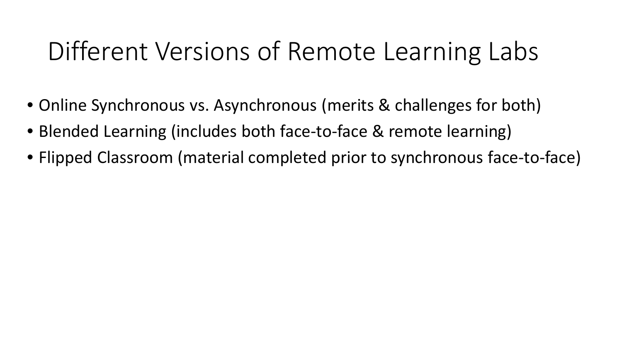## Different Versions of Remote Learning Labs

- Online Synchronous vs. Asynchronous (merits & challenges for both)
- Blended Learning (includes both face-to-face & remote learning)
- Flipped Classroom (material completed prior to synchronous face-to-face)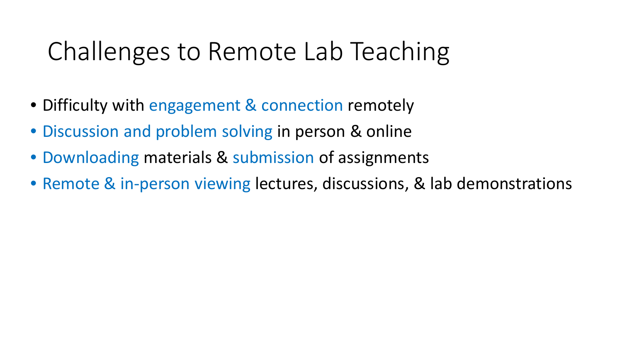### Challenges to Remote Lab Teaching

- Difficulty with engagement & connection remotely
- Discussion and problem solving in person & online
- Downloading materials & submission of assignments
- Remote & in-person viewing lectures, discussions, & lab demonstrations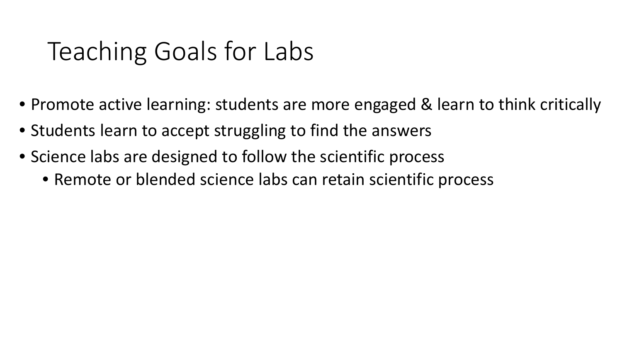### Teaching Goals for Labs

- Promote active learning: students are more engaged & learn to think critically
- Students learn to accept struggling to find the answers
- Science labs are designed to follow the scientific process
	- Remote or blended science labs can retain scientific process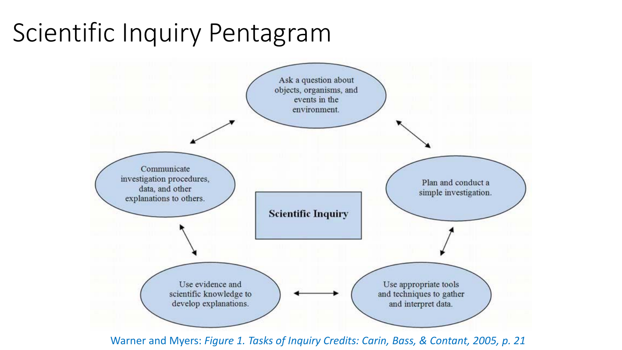## Scientific Inquiry Pentagram



Warner and Myers: *Figure 1. Tasks of Inquiry Credits: Carin, Bass, & Contant, 2005, p. 21*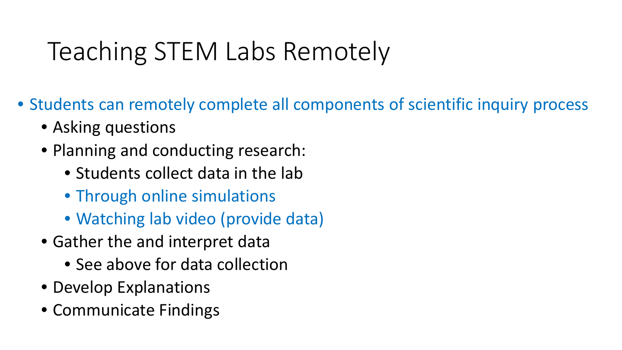## Teaching STEM Labs Remotely

- Students can remotely complete all components of scientific inquiry process
	- Asking questions
	- Planning and conducting research:
		- Students collect data in the lab
		- Through online simulations
		- Watching lab video (provide data)
	- Gather the and interpret data
		- See above for data collection
	- Develop Explanations
	- Communicate Findings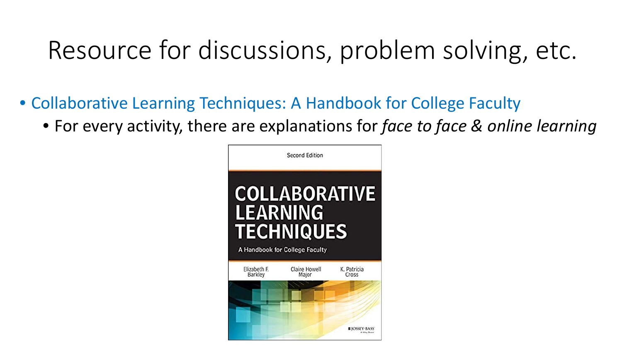## Resource for discussions, problem solving, etc.

- Collaborative Learning Techniques: A Handbook for College Faculty
	- For every activity, there are explanations for *face to face & online learning*

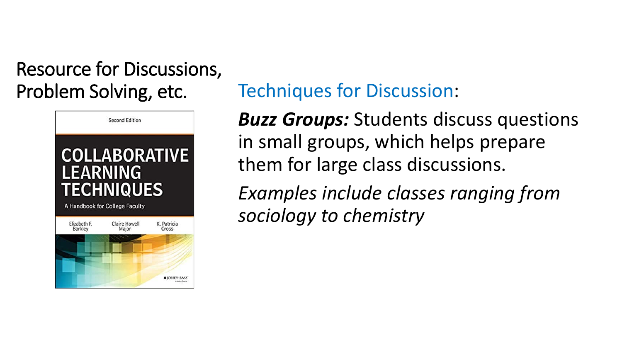

#### Problem Solving, etc. Techniques for Discussion:

*Buzz Groups:* Students discuss questions in small groups, which helps prepare them for large class discussions.

*Examples include classes ranging from sociology to chemistry*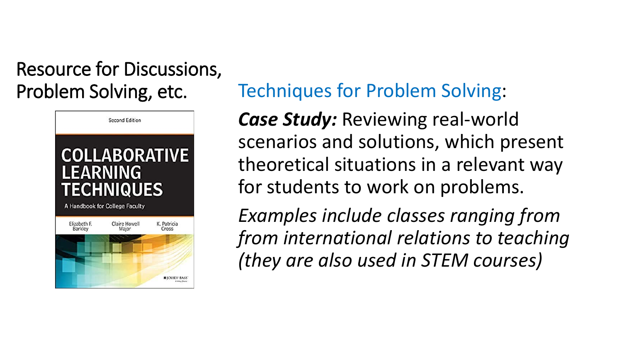

#### Problem Solving, etc. Techniques for Problem Solving:

*Case Study:* Reviewing real-world scenarios and solutions, which present theoretical situations in a relevant way for students to work on problems.

*Examples include classes ranging from from international relations to teaching (they are also used in STEM courses)*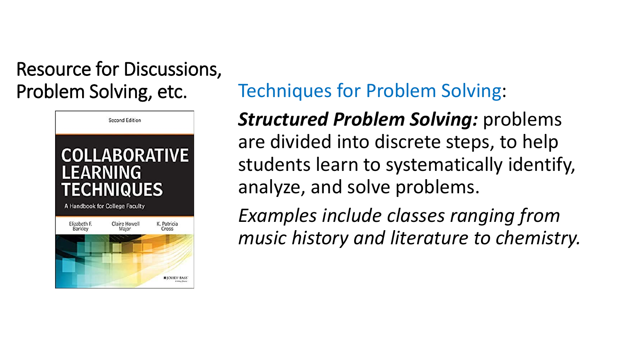

#### Problem Solving, etc. Techniques for Problem Solving:

*Structured Problem Solving:* problems are divided into discrete steps, to help students learn to systematically identify, analyze, and solve problems.

*Examples include classes ranging from music history and literature to chemistry.*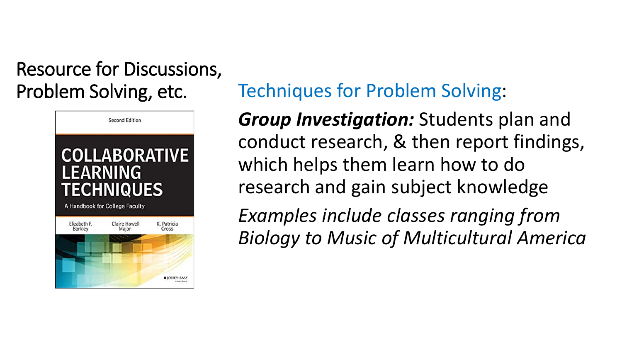

#### Problem Solving, etc. Techniques for Problem Solving:

*Group Investigation:* Students plan and conduct research, & then report findings, which helps them learn how to do research and gain subject knowledge

*Examples include classes ranging from Biology to Music of Multicultural America*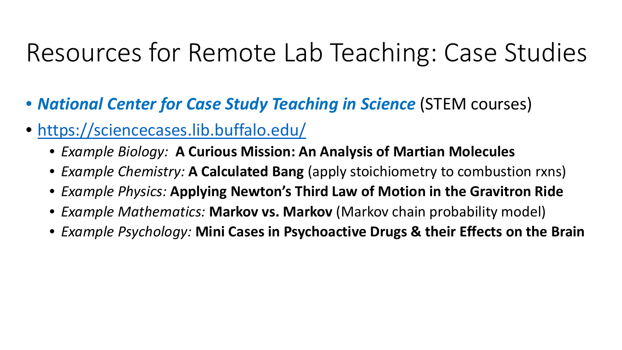## Resources for Remote Lab Teaching: Case Studies

- *National Center for Case Study Teaching in Science* (STEM courses)
- <https://sciencecases.lib.buffalo.edu/>
	- *Example Biology:* **A Curious Mission: An Analysis of Martian Molecules**
	- *Example Chemistry:* **A Calculated Bang** (apply stoichiometry to combustion rxns)
	- *Example Physics:* **Applying Newton's Third Law of Motion in the Gravitron Ride**
	- *Example Mathematics:* **Markov vs. Markov** (Markov chain probability model)
	- *Example Psychology:* **Mini Cases in Psychoactive Drugs & their Effects on the Brain**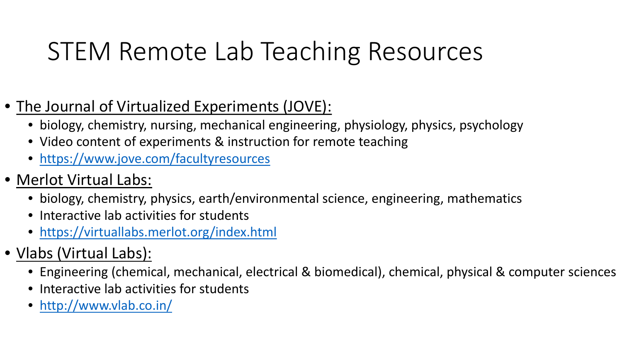## STEM Remote Lab Teaching Resources

- The Journal of Virtualized Experiments (JOVE):
	- biology, chemistry, nursing, mechanical engineering, physiology, physics, psychology
	- Video content of experiments & instruction for remote teaching
	- <https://www.jove.com/facultyresources>
- Merlot Virtual Labs:
	- biology, chemistry, physics, earth/environmental science, engineering, mathematics
	- Interactive lab activities for students
	- <https://virtuallabs.merlot.org/index.html>
- Vlabs (Virtual Labs):
	- Engineering (chemical, mechanical, electrical & biomedical), chemical, physical & computer sciences
	- Interactive lab activities for students
	- <http://www.vlab.co.in/>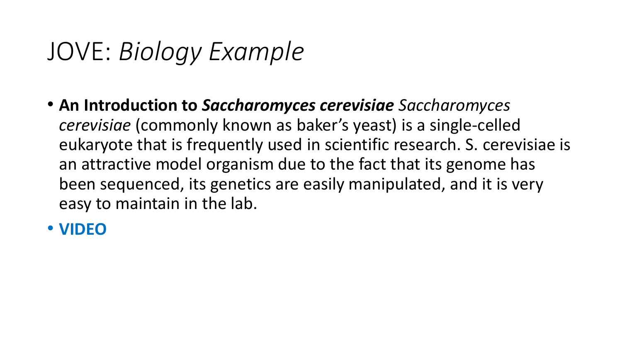### JOVE: *Biology Example*

• **An Introduction to** *Saccharomyces cerevisiae Saccharomyces cerevisiae* (commonly known as baker's yeast) is a single-celled eukaryote that is frequently used in scientific research. S. cerevisiae is an attractive model organism due to the fact that its genome has been sequenced, its genetics are easily manipulated, and it is very easy to maintain in the lab.

#### • **VIDEO**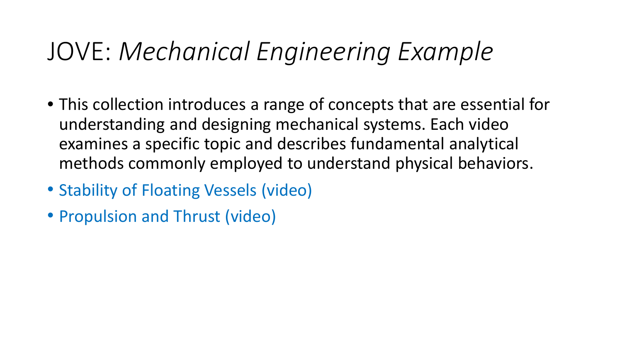### JOVE: *Mechanical Engineering Example*

- This collection introduces a range of concepts that are essential for understanding and designing mechanical systems. Each video examines a specific topic and describes fundamental analytical methods commonly employed to understand physical behaviors.
- Stability of Floating Vessels (video)
- Propulsion and Thrust (video)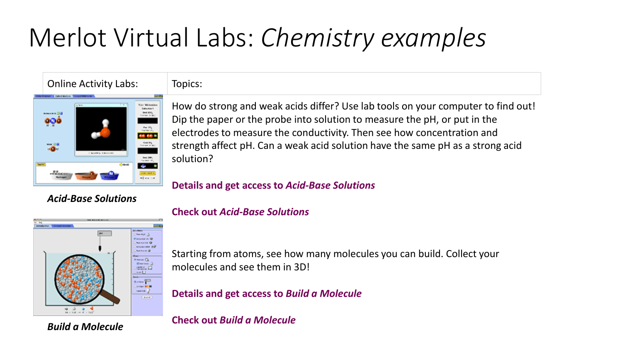# Merlot Virtual Labs: *Chemistry examples*

#### Online Activity Labs: Topics:



*Acid-Base Solutions*

How do strong and weak acids differ? Use lab tools on your computer to find out! Dip the paper or the probe into solution to measure the pH, or put in the electrodes to measure the conductivity. Then see how concentration and strength affect pH. Can a weak acid solution have the same pH as a strong acid solution?

#### **Details and get access to** *Acid-Base Solutions*



*Build a Molecule*

**Check out** *Acid-Base Solutions*

Starting from atoms, see how many molecules you can build. Collect your molecules and see them in 3D!

**Details and get access to** *Build a Molecule*

**Check out** *Build a Molecule*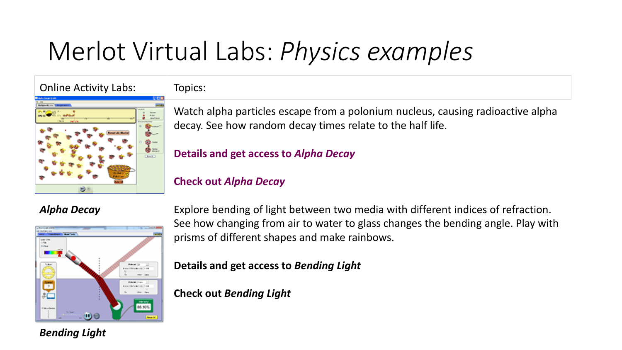# Merlot Virtual Labs: *Physics examples*

Online Activity Labs: Topics:





Watch alpha particles escape from a polonium nucleus, causing radioactive alpha decay. See how random decay times relate to the half life.

#### **Details and get access to** *Alpha Decay*

#### **Check out** *Alpha Decay*

#### *Alpha Decay*



Explore bending of light between two media with different indices of refraction. See how changing from air to water to glass changes the bending angle. Play with prisms of different shapes and make rainbows.

**Details and get access to** *Bending Light*

**Check out** *Bending Light*

*Bending Light*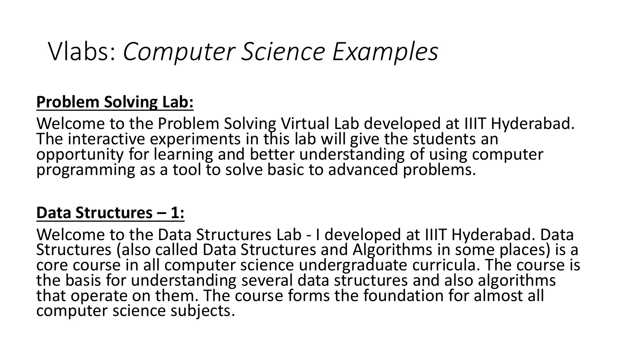### Vlabs: *Computer Science Examples*

#### **Problem Solving Lab:**

Welcome to the Problem Solving Virtual Lab developed at IIIT Hyderabad. The interactive experiments in this lab will give the students an opportunity for learning and better understanding of using computer programming as a tool to solve basic to advanced problems.

#### **Data Structures – 1:**

Welcome to the Data Structures Lab - I developed at IIIT Hyderabad. Data<br>Structures (also called Data Structures and Algorithms in some places) is a core course in all computer science undergraduate curricula. The course is the basis for understanding several data structures and also algorithms that operate on them. The course forms the foundation for almost all computer science subjects.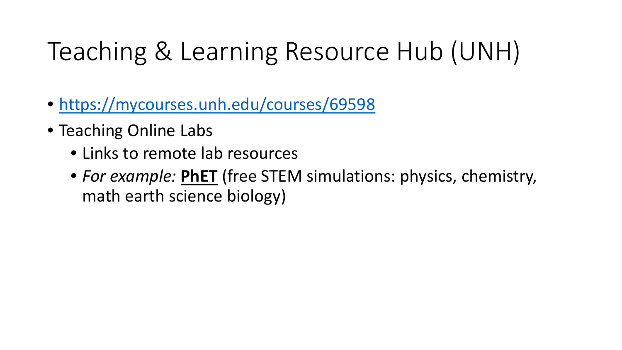# Teaching & Learning Resource Hub (UNH)

- <https://mycourses.unh.edu/courses/69598>
- Teaching Online Labs
	- Links to remote lab resources
	- *For example:* **PhET** (free STEM simulations: physics, chemistry, math earth science biology)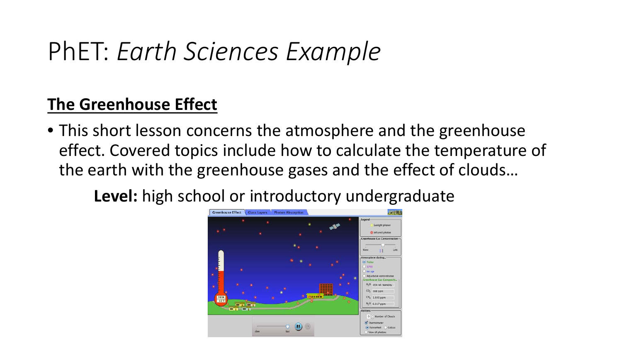## PhET: *Earth Sciences Example*

#### **The Greenhouse Effect**

• This short lesson concerns the atmosphere and the greenhouse effect. Covered topics include how to calculate the temperature of the earth with the greenhouse gases and the effect of clouds…

**Level:** high school or introductory undergraduate

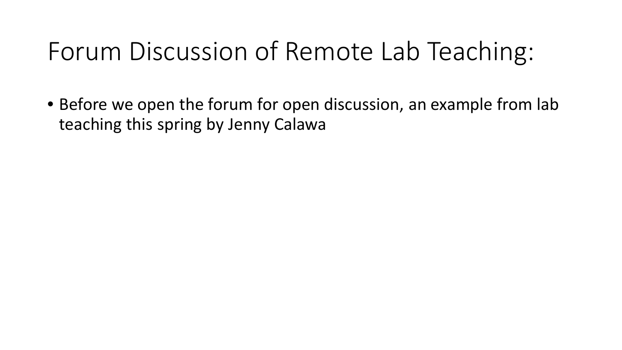### Forum Discussion of Remote Lab Teaching:

• Before we open the forum for open discussion, an example from lab teaching this spring by Jenny Calawa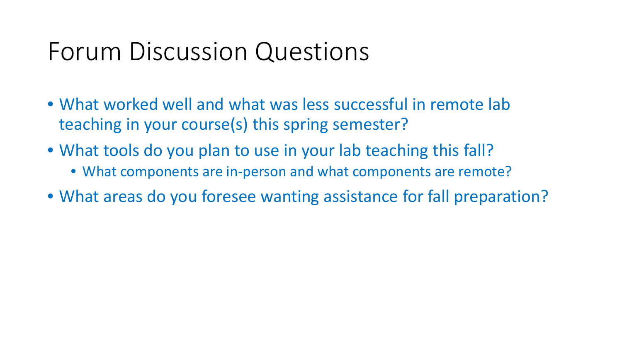#### Forum Discussion Questions

- What worked well and what was less successful in remote lab teaching in your course(s) this spring semester?
- What tools do you plan to use in your lab teaching this fall?
	- What components are in-person and what components are remote?
- What areas do you foresee wanting assistance for fall preparation?